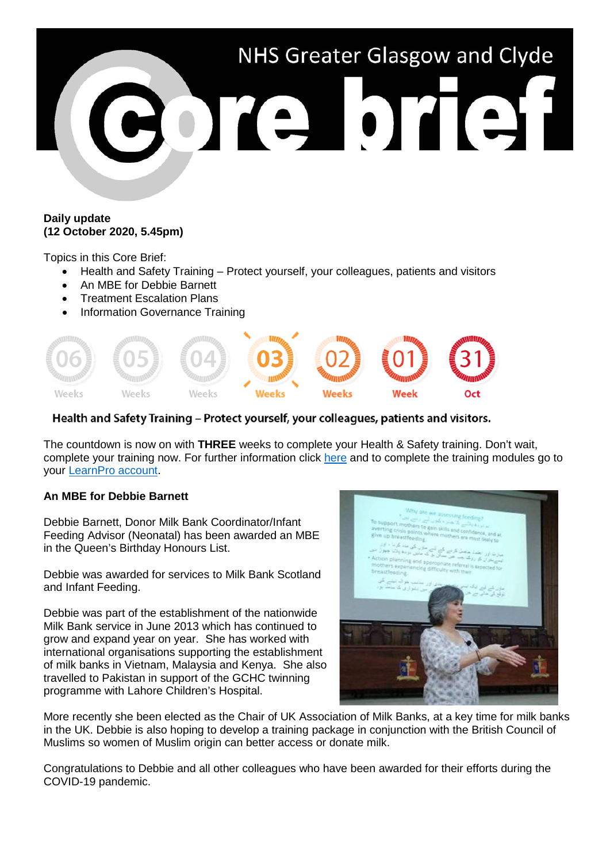

## **Daily update (12 October 2020, 5.45pm)**

Topics in this Core Brief:

- Health and Safety Training Protect yourself, your colleagues, patients and visitors
- An MBE for Debbie Barnett
- **Treatment Escalation Plans**
- Information Governance Training



### Health and Safety Training - Protect yourself, your colleagues, patients and visitors.

The countdown is now on with **THREE** weeks to complete your Health & Safety training. Don't wait, complete your training now. For further information click [here](https://www.nhsggc.org.uk/working-with-us/hr-connect/health-safety/training-and-education/health-safety-training/) and to complete the training modules go to your [LearnPro account.](http://nhs.learnprouk.com/)

### **An MBE for Debbie Barnett**

Debbie Barnett, Donor Milk Bank Coordinator/Infant Feeding Advisor (Neonatal) has been awarded an MBE in the Queen's Birthday Honours List.

Debbie was awarded for services to Milk Bank Scotland and Infant Feeding.

Debbie was part of the establishment of the nationwide Milk Bank service in June 2013 which has continued to grow and expand year on year. She has worked with international organisations supporting the establishment of milk banks in Vietnam, Malaysia and Kenya. She also travelled to Pakistan in support of the GCHC twinning programme with Lahore Children's Hospital.



More recently she been elected as the Chair of UK Association of Milk Banks, at a key time for milk banks in the UK. Debbie is also hoping to develop a training package in conjunction with the British Council of Muslims so women of Muslim origin can better access or donate milk.

Congratulations to Debbie and all other colleagues who have been awarded for their efforts during the COVID-19 pandemic.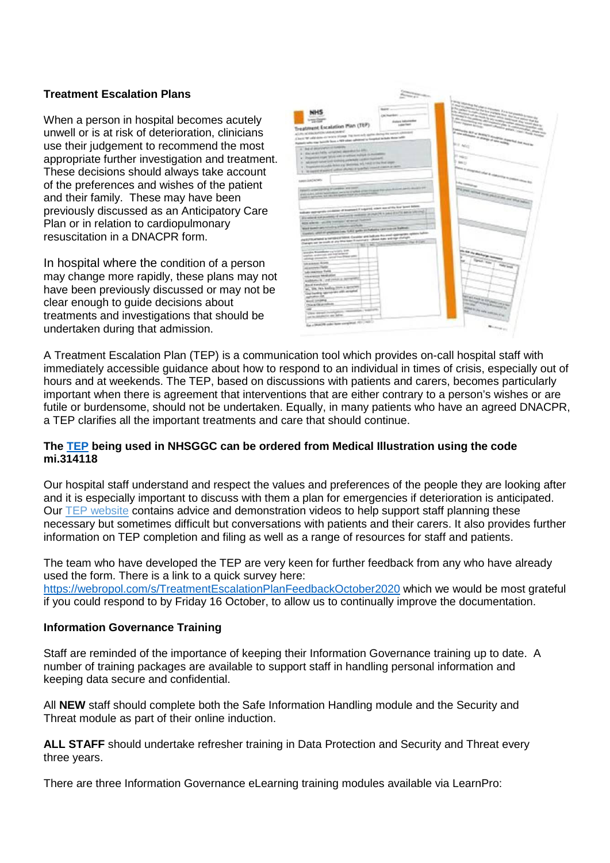# **Treatment Escalation Plans**

When a person in hospital becomes acutely unwell or is at risk of deterioration, clinicians use their judgement to recommend the most appropriate further investigation and treatment. These decisions should always take account of the preferences and wishes of the patient and their family. These may have been previously discussed as an Anticipatory Care Plan or in relation to cardiopulmonary resuscitation in a DNACPR form.

In hospital where the condition of a person may change more rapidly, these plans may not have been previously discussed or may not be clear enough to guide decisions about treatments and investigations that should be undertaken during that admission.

|                                                                                                                                                                                                      | Consequently collection<br><b>Photostal at 11</b> |                                                                                                                                                                                                                                                                                                    |
|------------------------------------------------------------------------------------------------------------------------------------------------------------------------------------------------------|---------------------------------------------------|----------------------------------------------------------------------------------------------------------------------------------------------------------------------------------------------------------------------------------------------------------------------------------------------------|
|                                                                                                                                                                                                      | <b>Building</b>                                   | i yang mening beraka yang menyapai di kalendar pemain beraka dan<br>it and the particular for the property them . Not their process that the<br>y the parties is expected the state and services are work due to<br>the definition of the result is an extent of their design of the components of |
|                                                                                                                                                                                                      | <b>LOS NumBerl</b> (L.)                           | standardo político de calabra de la Calabra de Santon<br>the decoration of the children children and the children of the children                                                                                                                                                                  |
|                                                                                                                                                                                                      | dealers' following the<br>Lake Text               |                                                                                                                                                                                                                                                                                                    |
| Treatment Escalation Plan (TEP)                                                                                                                                                                      |                                                   | Freezowing duit of Northern equilibrium diversities from their last                                                                                                                                                                                                                                |
| <b>CURLISEDIARIO AGRICULTURAL</b><br>A local for only date strike with property that some outy appreciately the surveys administration                                                               |                                                   |                                                                                                                                                                                                                                                                                                    |
| Packards who may believe here a 197 silies substrate to longitud to below white                                                                                                                      |                                                   |                                                                                                                                                                                                                                                                                                    |
|                                                                                                                                                                                                      |                                                   | <b>Mill Adap</b>                                                                                                                                                                                                                                                                                   |
| 4 Bill of anywhere controls                                                                                                                                                                          |                                                   |                                                                                                                                                                                                                                                                                                    |
| A Discussion for the completed and state and state                                                                                                                                                   |                                                   |                                                                                                                                                                                                                                                                                                    |
| . Progressed struct follow with in artifical maintain is manipulated                                                                                                                                 |                                                   | <b>BY HALL</b>                                                                                                                                                                                                                                                                                     |
| If where you precipe the contract of the                                                                                                                                                             |                                                   | <b>D'Aug</b>                                                                                                                                                                                                                                                                                       |
| 7. Trigenous blueple false and distincts will will tribe first upper<br>8. Writered if point when photos it to print count crash a case.                                                             |                                                   |                                                                                                                                                                                                                                                                                                    |
|                                                                                                                                                                                                      |                                                   |                                                                                                                                                                                                                                                                                                    |
|                                                                                                                                                                                                      |                                                   | There is designated that it retaining to present them by                                                                                                                                                                                                                                           |
| MARKET AND REPORTS                                                                                                                                                                                   |                                                   |                                                                                                                                                                                                                                                                                                    |
|                                                                                                                                                                                                      |                                                   | <b>College College Col</b>                                                                                                                                                                                                                                                                         |
| With Article and the main retails are as to select a "with the control that the plans devices and is developed and                                                                                   |                                                   | the party named room point of the Corp and the party                                                                                                                                                                                                                                               |
| lamb it agreems are on the first time provincial and                                                                                                                                                 |                                                   |                                                                                                                                                                                                                                                                                                    |
|                                                                                                                                                                                                      |                                                   |                                                                                                                                                                                                                                                                                                    |
|                                                                                                                                                                                                      |                                                   |                                                                                                                                                                                                                                                                                                    |
|                                                                                                                                                                                                      |                                                   |                                                                                                                                                                                                                                                                                                    |
| industry entity-sposite constitute of investment if to approximate when the door burned bettern<br>the water of our providency of analyses or continued on channels to paper structly determined and |                                                   |                                                                                                                                                                                                                                                                                                    |
|                                                                                                                                                                                                      |                                                   |                                                                                                                                                                                                                                                                                                    |
| <b>AGE WATE: UK ON THE DISTANCE OF BUILDING</b>                                                                                                                                                      |                                                   |                                                                                                                                                                                                                                                                                                    |
| We'll be with an actuality and account to the first                                                                                                                                                  |                                                   |                                                                                                                                                                                                                                                                                                    |
| function, offer of graphonic lone, bobb game so habitating used man on fractional                                                                                                                    |                                                   |                                                                                                                                                                                                                                                                                                    |
|                                                                                                                                                                                                      |                                                   |                                                                                                                                                                                                                                                                                                    |
|                                                                                                                                                                                                      |                                                   |                                                                                                                                                                                                                                                                                                    |
|                                                                                                                                                                                                      |                                                   |                                                                                                                                                                                                                                                                                                    |
| PARK/Studional is territorial total, Canadar and Industrial award opposition options before<br>Disnips set by cook of any time hour Engineers' choice date and rap sharips                           | Assoc., Player 41 (1985)                          |                                                                                                                                                                                                                                                                                                    |
| <b>BELLMO</b>                                                                                                                                                                                        |                                                   |                                                                                                                                                                                                                                                                                                    |
| procedure, Minimalayabet is a Turchamic Highest                                                                                                                                                      |                                                   |                                                                                                                                                                                                                                                                                                    |
| popular, anderson, and his selected                                                                                                                                                                  |                                                   |                                                                                                                                                                                                                                                                                                    |
| which photographic capabilities of their control                                                                                                                                                     |                                                   | arta dan angguna men<br>me                                                                                                                                                                                                                                                                         |
| <b>UR ALBUM ROAD</b>                                                                                                                                                                                 |                                                   | <b>Rend, Way</b><br><b>Plate local</b>                                                                                                                                                                                                                                                             |
| <b>PERSONAL PARK</b>                                                                                                                                                                                 |                                                   |                                                                                                                                                                                                                                                                                                    |
| <b>Information Fulds</b>                                                                                                                                                                             |                                                   |                                                                                                                                                                                                                                                                                                    |
| <b><i>SALID MATERIAL RANGE LATING</i></b>                                                                                                                                                            |                                                   |                                                                                                                                                                                                                                                                                                    |
| welchen in J and provide a new artific<br><b>Boyer transferred</b>                                                                                                                                   |                                                   |                                                                                                                                                                                                                                                                                                    |
| We life, like heading from a sprintfield                                                                                                                                                             |                                                   |                                                                                                                                                                                                                                                                                                    |
| City business reprintment with accepted                                                                                                                                                              |                                                   |                                                                                                                                                                                                                                                                                                    |
| <b>NATIONAL CAR</b>                                                                                                                                                                                  |                                                   |                                                                                                                                                                                                                                                                                                    |
| <b>Brood company</b>                                                                                                                                                                                 |                                                   |                                                                                                                                                                                                                                                                                                    |
| Chien & Citizens and outs                                                                                                                                                                            |                                                   | <b>William Auto in Efficiency can bring</b>                                                                                                                                                                                                                                                        |
|                                                                                                                                                                                                      |                                                   | the Street Section & December is                                                                                                                                                                                                                                                                   |
| school procedures and companies to the control of the control of the<br>not be determined and ballow                                                                                                 |                                                   | <b>Planet by July Andre Avenue, of Las</b>                                                                                                                                                                                                                                                         |

A Treatment Escalation Plan (TEP) is a communication tool which provides on-call hospital staff with immediately accessible guidance about how to respond to an individual in times of crisis, especially out of hours and at weekends. The TEP, based on discussions with patients and carers, becomes particularly important when there is agreement that interventions that are either contrary to a person's wishes or are futile or burdensome, should not be undertaken. Equally, in many patients who have an agreed DNACPR, a TEP clarifies all the important treatments and care that should continue.

### **The [TEP](https://www.nhsggc.org.uk/media/262980/nhsggc_treatment_escalation_plan.pdf) being used in NHSGGC can be ordered from Medical Illustration using the code mi.314118**

Our hospital staff understand and respect the values and preferences of the people they are looking after and it is especially important to discuss with them a plan for emergencies if deterioration is anticipated. Our [TEP website](https://www.nhsggc.org.uk/patients-and-visitors/realistic-medicine/info-resources-for-staff/treatment-escalation-plans/) contains advice and demonstration videos to help support staff planning these necessary but sometimes difficult but conversations with patients and their carers. It also provides further information on TEP completion and filing as well as a range of resources for staff and patients.

The team who have developed the TEP are very keen for further feedback from any who have already used the form. There is a link to a quick survey here: <https://webropol.com/s/TreatmentEscalationPlanFeedbackOctober2020> which we would be most grateful if you could respond to by Friday 16 October, to allow us to continually improve the documentation.

### **Information Governance Training**

Staff are reminded of the importance of keeping their Information Governance training up to date. A number of training packages are available to support staff in handling personal information and keeping data secure and confidential.

All **NEW** staff should complete both the Safe Information Handling module and the Security and Threat module as part of their online induction.

**ALL STAFF** should undertake refresher training in Data Protection and Security and Threat every three years.

There are three Information Governance eLearning training modules available via LearnPro: